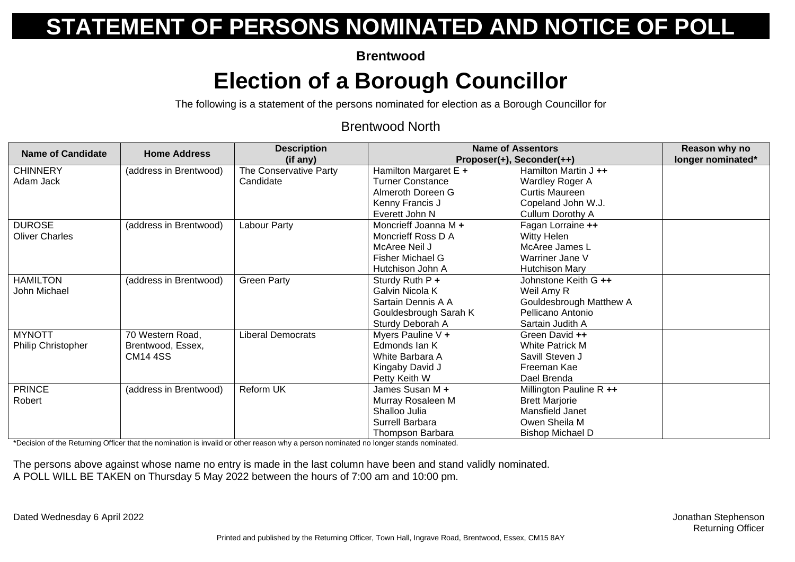**Brentwood**

## **Election of a Borough Councillor**

The following is a statement of the persons nominated for election as a Borough Councillor for

#### Brentwood North

| <b>Name of Candidate</b> | <b>Home Address</b>    | <b>Description</b>       | <b>Name of Assentors</b> |                           | Reason why no     |
|--------------------------|------------------------|--------------------------|--------------------------|---------------------------|-------------------|
|                          |                        | (if any)                 |                          | Proposer(+), Seconder(++) | longer nominated* |
| <b>CHINNERY</b>          | (address in Brentwood) | The Conservative Party   | Hamilton Margaret E +    | Hamilton Martin J ++      |                   |
| Adam Jack                |                        | Candidate                | <b>Turner Constance</b>  | Wardley Roger A           |                   |
|                          |                        |                          | Almeroth Doreen G        | <b>Curtis Maureen</b>     |                   |
|                          |                        |                          | Kenny Francis J          | Copeland John W.J.        |                   |
|                          |                        |                          | Everett John N           | Cullum Dorothy A          |                   |
| <b>DUROSE</b>            | (address in Brentwood) | Labour Party             | Moncrieff Joanna M +     | Fagan Lorraine ++         |                   |
| <b>Oliver Charles</b>    |                        |                          | Moncrieff Ross D A       | Witty Helen               |                   |
|                          |                        |                          | McAree Neil J            | McAree James L            |                   |
|                          |                        |                          | Fisher Michael G         | Warriner Jane V           |                   |
|                          |                        |                          | Hutchison John A         | <b>Hutchison Mary</b>     |                   |
| <b>HAMILTON</b>          | (address in Brentwood) | <b>Green Party</b>       | Sturdy Ruth P +          | Johnstone Keith G ++      |                   |
| John Michael             |                        |                          | Galvin Nicola K          | Weil Amy R                |                   |
|                          |                        |                          | Sartain Dennis A A       | Gouldesbrough Matthew A   |                   |
|                          |                        |                          | Gouldesbrough Sarah K    | Pellicano Antonio         |                   |
|                          |                        |                          | Sturdy Deborah A         | Sartain Judith A          |                   |
| <b>MYNOTT</b>            | 70 Western Road,       | <b>Liberal Democrats</b> | Myers Pauline V +        | Green David ++            |                   |
| Philip Christopher       | Brentwood, Essex,      |                          | Edmonds Ian K            | <b>White Patrick M</b>    |                   |
|                          | <b>CM14 4SS</b>        |                          | White Barbara A          | Savill Steven J           |                   |
|                          |                        |                          | Kingaby David J          | Freeman Kae               |                   |
|                          |                        |                          | Petty Keith W            | Dael Brenda               |                   |
| <b>PRINCE</b>            | (address in Brentwood) | Reform UK                | James Susan M +          | Millington Pauline R ++   |                   |
| Robert                   |                        |                          | Murray Rosaleen M        | <b>Brett Marjorie</b>     |                   |
|                          |                        |                          | Shalloo Julia            | Mansfield Janet           |                   |
|                          |                        |                          | Surrell Barbara          | Owen Sheila M             |                   |
|                          |                        |                          | Thompson Barbara         | <b>Bishop Michael D</b>   |                   |

\*Decision of the Returning Officer that the nomination is invalid or other reason why a person nominated no longer stands nominated.

The persons above against whose name no entry is made in the last column have been and stand validly nominated. A POLL WILL BE TAKEN on Thursday 5 May 2022 between the hours of 7:00 am and 10:00 pm.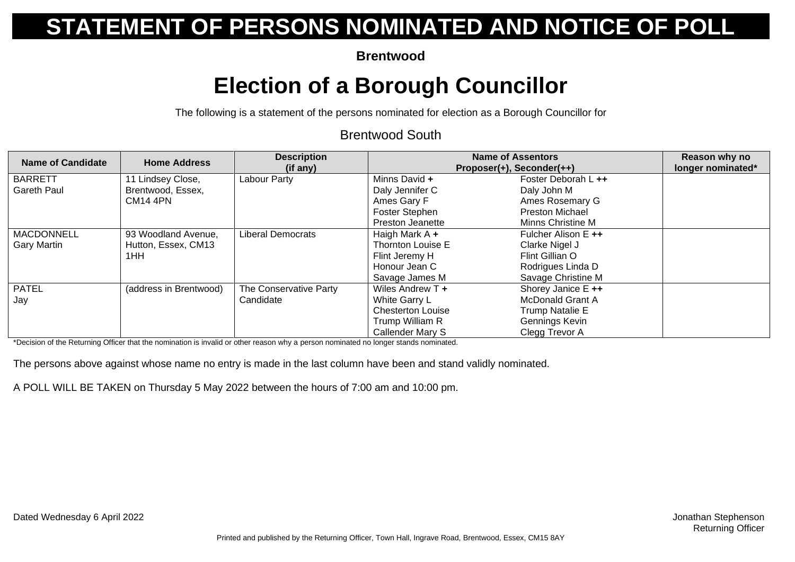**Brentwood**

## **Election of a Borough Councillor**

The following is a statement of the persons nominated for election as a Borough Councillor for

#### Brentwood South

| <b>Name of Candidate</b>                | <b>Home Address</b>                               | <b>Description</b><br>(if any)      | <b>Name of Assentors</b><br>Proposer(+), Seconder(++)         |                                                                  | Reason why no<br>longer nominated* |
|-----------------------------------------|---------------------------------------------------|-------------------------------------|---------------------------------------------------------------|------------------------------------------------------------------|------------------------------------|
| <b>BARRETT</b><br>Gareth Paul           | I Lindsey Close,<br>Brentwood, Essex,             | Labour Party                        | Minns David +<br>Daly Jennifer C                              | Foster Deborah L ++<br>Daly John M                               |                                    |
|                                         | <b>CM14 4PN</b>                                   |                                     | Ames Gary F                                                   | Ames Rosemary G<br><b>Preston Michael</b>                        |                                    |
|                                         |                                                   |                                     | Foster Stephen<br>Preston Jeanette                            | Minns Christine M                                                |                                    |
| <b>MACDONNELL</b><br><b>Gary Martin</b> | 93 Woodland Avenue,<br>Hutton, Essex, CM13<br>1HH | <b>Liberal Democrats</b>            | Haigh Mark $A +$<br>Thornton Louise E<br>Flint Jeremy H       | Fulcher Alison E ++<br>Clarke Nigel J<br>Flint Gillian O         |                                    |
|                                         |                                                   |                                     | Honour Jean C<br>Savage James M                               | Rodrigues Linda D<br>Savage Christine M                          |                                    |
| <b>PATEL</b><br>Jay                     | (address in Brentwood)                            | The Conservative Party<br>Candidate | Wiles Andrew T +<br>White Garry L<br><b>Chesterton Louise</b> | Shorey Janice E ++<br><b>McDonald Grant A</b><br>Trump Natalie E |                                    |
|                                         |                                                   |                                     | Trump William R<br>Callender Mary S                           | Gennings Kevin<br>Clegg Trevor A                                 |                                    |

\*Decision of the Returning Officer that the nomination is invalid or other reason why a person nominated no longer stands nominated.

The persons above against whose name no entry is made in the last column have been and stand validly nominated.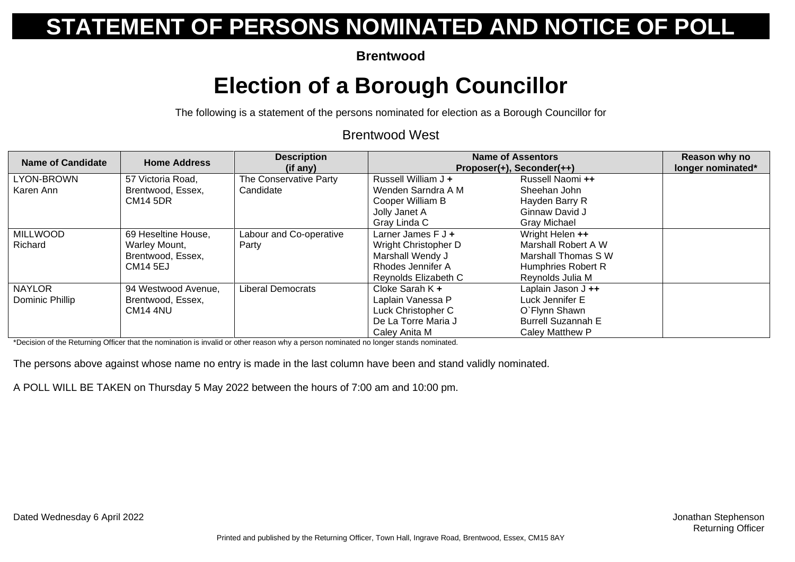**Brentwood**

## **Election of a Borough Councillor**

The following is a statement of the persons nominated for election as a Borough Councillor for

#### Brentwood West

| <b>Name of Candidate</b> | <b>Home Address</b>                    | <b>Description</b><br>(if any)      | <b>Name of Assentors</b><br>Proposer(+), Seconder(++) |                                  | Reason why no<br>longer nominated* |
|--------------------------|----------------------------------------|-------------------------------------|-------------------------------------------------------|----------------------------------|------------------------------------|
| LYON-BROWN<br>Karen Ann  | 57 Victoria Road,<br>Brentwood, Essex, | The Conservative Party<br>Candidate | Russell William J +<br>Wenden Sarndra A M             | Russell Naomi ++<br>Sheehan John |                                    |
|                          | <b>CM14 5DR</b>                        |                                     | Cooper William B                                      | Hayden Barry R                   |                                    |
|                          |                                        |                                     | Jolly Janet A                                         | Ginnaw David J                   |                                    |
|                          |                                        |                                     | Gray Linda C                                          | Gray Michael                     |                                    |
| <b>MILLWOOD</b>          | 69 Heseltine House,                    | Labour and Co-operative             | Larner James $F J +$                                  | Wright Helen ++                  |                                    |
| Richard                  | Warley Mount,                          | Party                               | Wright Christopher D                                  | Marshall Robert A W              |                                    |
|                          | Brentwood, Essex,                      |                                     | Marshall Wendy J                                      | Marshall Thomas S W              |                                    |
|                          | <b>CM14 5EJ</b>                        |                                     | Rhodes Jennifer A                                     | Humphries Robert R               |                                    |
|                          |                                        |                                     | Reynolds Elizabeth C                                  | Reynolds Julia M                 |                                    |
| <b>NAYLOR</b>            | 94 Westwood Avenue,                    | <b>Liberal Democrats</b>            | Cloke Sarah K +                                       | Laplain Jason $J +$              |                                    |
| Dominic Phillip          | Brentwood, Essex,                      |                                     | Laplain Vanessa P                                     | Luck Jennifer E                  |                                    |
|                          | CM <sub>14</sub> 4NU                   |                                     | Luck Christopher C                                    | O`Flynn Shawn                    |                                    |
|                          |                                        |                                     | De La Torre Maria J                                   | <b>Burrell Suzannah E</b>        |                                    |
|                          |                                        |                                     | Caley Anita M                                         | Caley Matthew P                  |                                    |

\*Decision of the Returning Officer that the nomination is invalid or other reason why a person nominated no longer stands nominated.

The persons above against whose name no entry is made in the last column have been and stand validly nominated.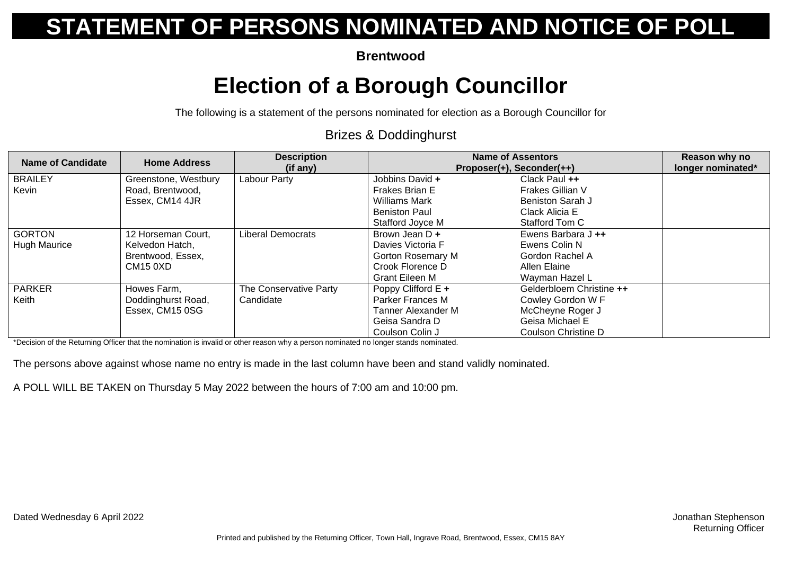**Brentwood**

### **Election of a Borough Councillor**

The following is a statement of the persons nominated for election as a Borough Councillor for

#### Brizes & Doddinghurst

| <b>Name of Candidate</b>             | <b>Home Address</b>                                                           | <b>Description</b><br>(if any)      |                                                                                                            | <b>Name of Assentors</b><br>Proposer(+), Seconder(++)                                                       |  |
|--------------------------------------|-------------------------------------------------------------------------------|-------------------------------------|------------------------------------------------------------------------------------------------------------|-------------------------------------------------------------------------------------------------------------|--|
| <b>BRAILEY</b><br>Kevin              | Greenstone, Westbury<br>Road, Brentwood,<br>Essex, CM14 4JR                   | Labour Party                        | Jobbins David +<br>Frakes Brian E<br><b>Williams Mark</b><br><b>Beniston Paul</b>                          | Clack Paul ++<br>Frakes Gillian V<br>Beniston Sarah J<br>Clack Alicia E                                     |  |
|                                      |                                                                               |                                     | Stafford Joyce M                                                                                           | Stafford Tom C                                                                                              |  |
| <b>GORTON</b><br><b>Hugh Maurice</b> | 12 Horseman Court,<br>Kelvedon Hatch,<br>Brentwood, Essex,<br><b>CM15 0XD</b> | Liberal Democrats                   | Brown Jean D +<br>Davies Victoria F<br><b>Gorton Rosemary M</b><br>Crook Florence D<br>Grant Eileen M      | Ewens Barbara $J +$<br>Ewens Colin N<br>Gordon Rachel A<br>Allen Elaine<br>Wayman Hazel L                   |  |
| <b>PARKER</b><br>Keith               | Howes Farm,<br>Doddinghurst Road,<br>Essex, CM15 0SG                          | The Conservative Party<br>Candidate | Poppy Clifford $E +$<br><b>Parker Frances M</b><br>Tanner Alexander M<br>Geisa Sandra D<br>Coulson Colin J | Gelderbloem Christine ++<br>Cowley Gordon W F<br>McCheyne Roger J<br>Geisa Michael E<br>Coulson Christine D |  |

\*Decision of the Returning Officer that the nomination is invalid or other reason why a person nominated no longer stands nominated.

The persons above against whose name no entry is made in the last column have been and stand validly nominated.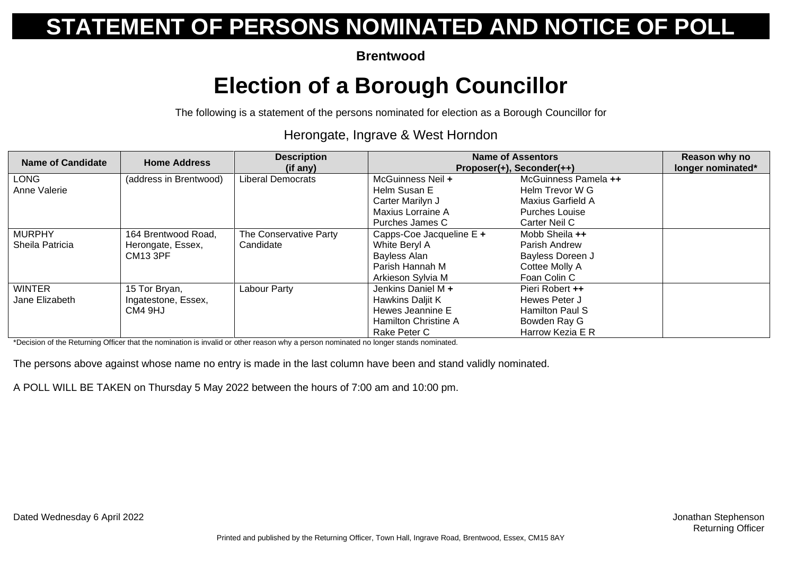**Brentwood**

## **Election of a Borough Councillor**

The following is a statement of the persons nominated for election as a Borough Councillor for

#### Herongate, Ingrave & West Horndon

| <b>Name of Candidate</b> | <b>Home Address</b>    | <b>Description</b><br>(if any) | <b>Name of Assentors</b><br>$Proposer(+)$ , Seconder $(++)$ |                       | Reason why no<br>longer nominated* |
|--------------------------|------------------------|--------------------------------|-------------------------------------------------------------|-----------------------|------------------------------------|
| <b>LONG</b>              | (address in Brentwood) | <b>Liberal Democrats</b>       | McGuinness Neil +                                           | McGuinness Pamela ++  |                                    |
| Anne Valerie             |                        |                                | Helm Susan E                                                | Helm Trevor W G       |                                    |
|                          |                        |                                | Carter Marilyn J                                            | Maxius Garfield A     |                                    |
|                          |                        |                                | Maxius Lorraine A                                           | <b>Purches Louise</b> |                                    |
|                          |                        |                                | Purches James C                                             | Carter Neil C         |                                    |
| <b>MURPHY</b>            | 164 Brentwood Road,    | The Conservative Party         | Capps-Coe Jacqueline E +                                    | Mobb Sheila ++        |                                    |
| Sheila Patricia          | Herongate, Essex,      | Candidate                      | White Beryl A                                               | Parish Andrew         |                                    |
|                          | <b>CM13 3PF</b>        |                                | Bayless Alan                                                | Bayless Doreen J      |                                    |
|                          |                        |                                | Parish Hannah M                                             | Cottee Molly A        |                                    |
|                          |                        |                                | Arkieson Sylvia M                                           | Foan Colin C          |                                    |
| <b>WINTER</b>            | 15 Tor Bryan,          | Labour Party                   | Jenkins Daniel M +                                          | Pieri Robert ++       |                                    |
| Jane Elizabeth           | Ingatestone, Essex,    |                                | Hawkins Daljit K                                            | Hewes Peter J         |                                    |
|                          | CM4 9HJ                |                                | Hewes Jeannine E                                            | Hamilton Paul S       |                                    |
|                          |                        |                                | Hamilton Christine A                                        | Bowden Ray G          |                                    |
|                          |                        |                                | Rake Peter C                                                | Harrow Kezia E R      |                                    |

\*Decision of the Returning Officer that the nomination is invalid or other reason why a person nominated no longer stands nominated.

The persons above against whose name no entry is made in the last column have been and stand validly nominated.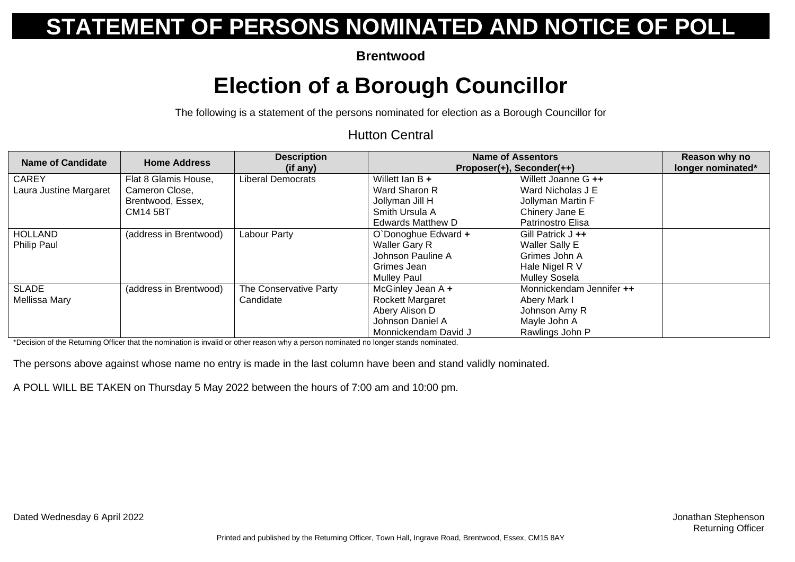**Brentwood**

## **Election of a Borough Councillor**

The following is a statement of the persons nominated for election as a Borough Councillor for

#### Hutton Central

| Name of Candidate      | <b>Home Address</b>    | <b>Description</b><br>(if any) |                          | <b>Name of Assentors</b><br>Proposer(+), Seconder(++) | Reason why no<br>longer nominated* |
|------------------------|------------------------|--------------------------------|--------------------------|-------------------------------------------------------|------------------------------------|
| <b>CAREY</b>           | Flat 8 Glamis House,   | <b>Liberal Democrats</b>       | Willett Ian $B +$        | Willett Joanne G ++                                   |                                    |
| Laura Justine Margaret | Cameron Close,         |                                | Ward Sharon R            | Ward Nicholas J E                                     |                                    |
|                        | Brentwood, Essex,      |                                | Jollyman Jill H          | Jollyman Martin F                                     |                                    |
|                        | <b>CM14 5BT</b>        |                                | Smith Ursula A           | Chinery Jane E                                        |                                    |
|                        |                        |                                | <b>Edwards Matthew D</b> | Patrinostro Elisa                                     |                                    |
| <b>HOLLAND</b>         | (address in Brentwood) | Labour Party                   | O`Donoghue Edward +      | Gill Patrick J ++                                     |                                    |
| Philip Paul            |                        |                                | <b>Waller Gary R</b>     | <b>Waller Sally E</b>                                 |                                    |
|                        |                        |                                | Johnson Pauline A        | Grimes John A                                         |                                    |
|                        |                        |                                | Grimes Jean              | Hale Nigel R V                                        |                                    |
|                        |                        |                                | <b>Mullev Paul</b>       | Mulley Sosela                                         |                                    |
| <b>SLADE</b>           | (address in Brentwood) | The Conservative Party         | McGinley Jean A +        | Monnickendam Jennifer ++                              |                                    |
| Mellissa Mary          |                        | Candidate                      | <b>Rockett Margaret</b>  | Abery Mark I                                          |                                    |
|                        |                        |                                | Abery Alison D           | Johnson Amy R                                         |                                    |
|                        |                        |                                | Johnson Daniel A         | Mayle John A                                          |                                    |
|                        |                        |                                | Monnickendam David J     | Rawlings John P                                       |                                    |

\*Decision of the Returning Officer that the nomination is invalid or other reason why a person nominated no longer stands nominated.

The persons above against whose name no entry is made in the last column have been and stand validly nominated.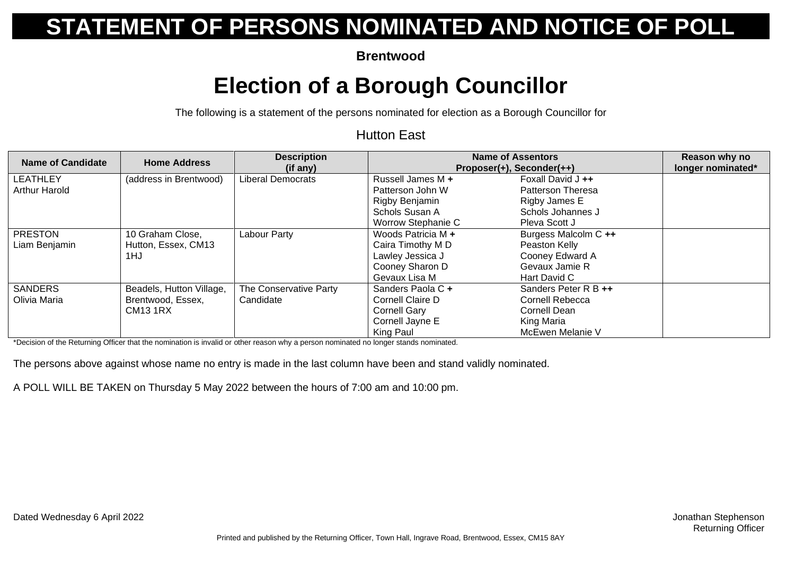**Brentwood**

## **Election of a Borough Councillor**

The following is a statement of the persons nominated for election as a Borough Councillor for

#### Hutton East

| Name of Candidate    | <b>Home Address</b>      | <b>Description</b><br>(if any) |                    | <b>Name of Assentors</b><br>Proposer(+), Seconder(++) |  |
|----------------------|--------------------------|--------------------------------|--------------------|-------------------------------------------------------|--|
| <b>LEATHLEY</b>      | (address in Brentwood)   | <b>Liberal Democrats</b>       | Russell James M +  | Foxall David J ++                                     |  |
| <b>Arthur Harold</b> |                          |                                | Patterson John W   | <b>Patterson Theresa</b>                              |  |
|                      |                          |                                | Rigby Benjamin     | Rigby James E                                         |  |
|                      |                          |                                | Schols Susan A     | Schols Johannes J                                     |  |
|                      |                          |                                | Worrow Stephanie C | Pleva Scott J                                         |  |
| <b>PRESTON</b>       | 10 Graham Close,         | Labour Party                   | Woods Patricia M + | Burgess Malcolm C ++                                  |  |
| Liam Benjamin        | Hutton, Essex, CM13      |                                | Caira Timothy M D  | Peaston Kelly                                         |  |
|                      | 1HJ                      |                                | Lawley Jessica J   | Cooney Edward A                                       |  |
|                      |                          |                                | Cooney Sharon D    | Gevaux Jamie R                                        |  |
|                      |                          |                                | Gevaux Lisa M      | Hart David C                                          |  |
| <b>SANDERS</b>       | Beadels, Hutton Village, | The Conservative Party         | Sanders Paola C +  | Sanders Peter R B ++                                  |  |
| Olivia Maria         | Brentwood, Essex,        | Candidate                      | Cornell Claire D   | Cornell Rebecca                                       |  |
|                      | <b>CM13 1RX</b>          |                                | Cornell Gary       | Cornell Dean                                          |  |
|                      |                          |                                | Cornell Jayne E    | King Maria                                            |  |
|                      |                          |                                | King Paul          | McEwen Melanie V                                      |  |

\*Decision of the Returning Officer that the nomination is invalid or other reason why a person nominated no longer stands nominated.

The persons above against whose name no entry is made in the last column have been and stand validly nominated.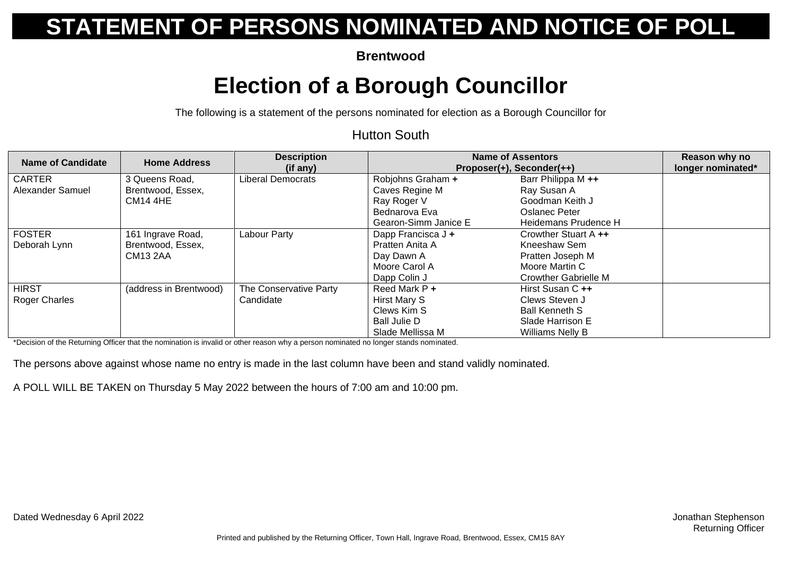**Brentwood**

## **Election of a Borough Councillor**

The following is a statement of the persons nominated for election as a Borough Councillor for

#### Hutton South

| <b>Name of Candidate</b> | <b>Home Address</b>    | <b>Description</b><br>(if any) | <b>Name of Assentors</b><br>Proposer(+), Seconder(++) |                             | Reason why no<br>longer nominated* |
|--------------------------|------------------------|--------------------------------|-------------------------------------------------------|-----------------------------|------------------------------------|
| <b>CARTER</b>            | 3 Queens Road,         | Liberal Democrats              | Robjohns Graham +                                     | Barr Philippa M ++          |                                    |
| Alexander Samuel         | Brentwood, Essex,      |                                | Caves Regine M                                        | Ray Susan A                 |                                    |
|                          | <b>CM14 4HE</b>        |                                | Ray Roger V                                           | Goodman Keith J             |                                    |
|                          |                        |                                | Bednarova Eva                                         | Oslanec Peter               |                                    |
|                          |                        |                                | Gearon-Simm Janice E                                  | Heidemans Prudence H        |                                    |
| <b>FOSTER</b>            | 161 Ingrave Road,      | Labour Party                   | Dapp Francisca J +                                    | Crowther Stuart A ++        |                                    |
| Deborah Lynn             | Brentwood, Essex,      |                                | Pratten Anita A                                       | Kneeshaw Sem                |                                    |
|                          | <b>CM13 2AA</b>        |                                | Day Dawn A                                            | Pratten Joseph M            |                                    |
|                          |                        |                                | Moore Carol A                                         | Moore Martin C              |                                    |
|                          |                        |                                | Dapp Colin J                                          | <b>Crowther Gabrielle M</b> |                                    |
| <b>HIRST</b>             | (address in Brentwood) | The Conservative Party         | Reed Mark P +                                         | Hirst Susan C ++            |                                    |
| <b>Roger Charles</b>     |                        | Candidate                      | Hirst Mary S                                          | Clews Steven J              |                                    |
|                          |                        |                                | Clews Kim S                                           | <b>Ball Kenneth S</b>       |                                    |
|                          |                        |                                | <b>Ball Julie D</b>                                   | Slade Harrison E            |                                    |
|                          |                        |                                | Slade Mellissa M                                      | Williams Nelly B            |                                    |

\*Decision of the Returning Officer that the nomination is invalid or other reason why a person nominated no longer stands nominated.

The persons above against whose name no entry is made in the last column have been and stand validly nominated.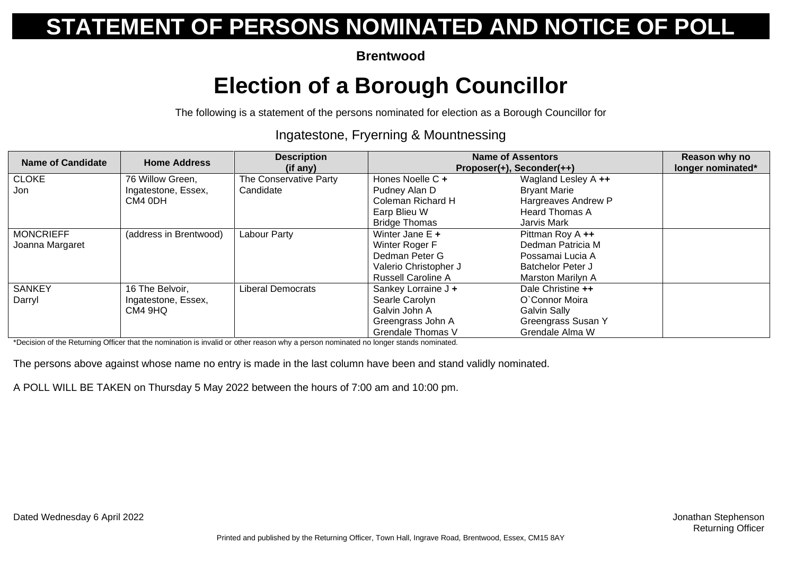**Brentwood**

## **Election of a Borough Councillor**

The following is a statement of the persons nominated for election as a Borough Councillor for

#### Ingatestone, Fryerning & Mountnessing

| <b>Name of Candidate</b> | <b>Home Address</b>    | <b>Description</b><br>(if any) | <b>Name of Assentors</b><br>Proposer(+), Seconder(++) |                       | Reason why no<br>longer nominated* |
|--------------------------|------------------------|--------------------------------|-------------------------------------------------------|-----------------------|------------------------------------|
| <b>CLOKE</b>             | 76 Willow Green,       | The Conservative Party         | Hones Noelle C +                                      | Wagland Lesley A ++   |                                    |
| Jon                      | Ingatestone, Essex,    | Candidate                      | Pudney Alan D                                         | <b>Bryant Marie</b>   |                                    |
|                          | CM4 0DH                |                                | Coleman Richard H                                     | Hargreaves Andrew P   |                                    |
|                          |                        |                                | Earp Blieu W                                          | <b>Heard Thomas A</b> |                                    |
|                          |                        |                                | <b>Bridge Thomas</b>                                  | Jarvis Mark           |                                    |
| <b>MONCRIEFF</b>         | (address in Brentwood) | Labour Party                   | Winter Jane $E +$                                     | Pittman Roy A ++      |                                    |
| Joanna Margaret          |                        |                                | Winter Roger F                                        | Dedman Patricia M     |                                    |
|                          |                        |                                | Dedman Peter G                                        | Possamai Lucia A      |                                    |
|                          |                        |                                | Valerio Christopher J                                 | Batchelor Peter J     |                                    |
|                          |                        |                                | <b>Russell Caroline A</b>                             | Marston Marilyn A     |                                    |
| <b>SANKEY</b>            | 16 The Belvoir,        | Liberal Democrats              | Sankey Lorraine J +                                   | Dale Christine ++     |                                    |
| Darryl                   | Ingatestone, Essex,    |                                | Searle Carolyn                                        | O'Connor Moira        |                                    |
|                          | CM4 9HQ                |                                | Galvin John A                                         | <b>Galvin Sally</b>   |                                    |
|                          |                        |                                | Greengrass John A                                     | Greengrass Susan Y    |                                    |
|                          |                        |                                | <b>Grendale Thomas V</b>                              | Grendale Alma W       |                                    |

\*Decision of the Returning Officer that the nomination is invalid or other reason why a person nominated no longer stands nominated.

The persons above against whose name no entry is made in the last column have been and stand validly nominated.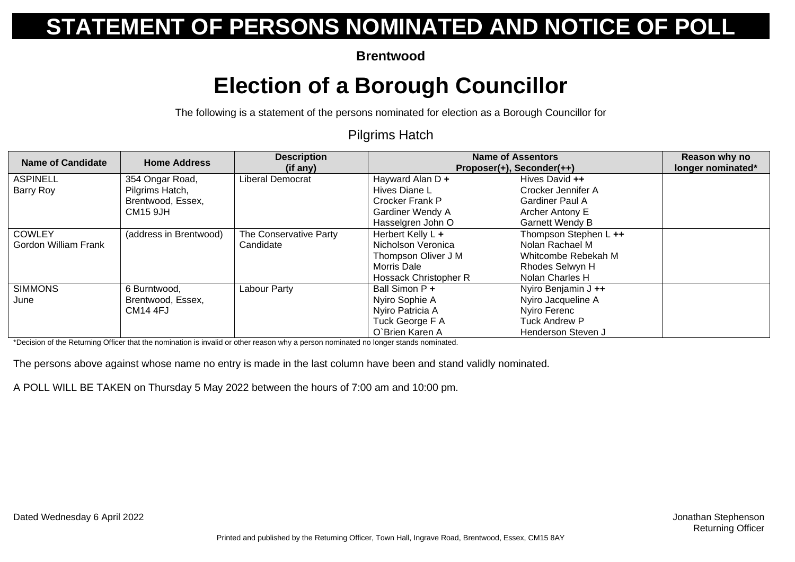**Brentwood**

## **Election of a Borough Councillor**

The following is a statement of the persons nominated for election as a Borough Councillor for

#### Pilgrims Hatch

| Name of Candidate    | <b>Home Address</b>    | <b>Description</b><br>(if any) | <b>Name of Assentors</b><br>Proposer(+), Seconder(++) |                        | Reason why no<br>longer nominated* |
|----------------------|------------------------|--------------------------------|-------------------------------------------------------|------------------------|------------------------------------|
| <b>ASPINELL</b>      | 354 Ongar Road,        | Liberal Democrat               | Hayward Alan D +                                      | Hives David ++         |                                    |
| Barry Roy            | Pilgrims Hatch,        |                                | Hives Diane L                                         | Crocker Jennifer A     |                                    |
|                      | Brentwood, Essex,      |                                | Crocker Frank P                                       | <b>Gardiner Paul A</b> |                                    |
|                      | <b>CM15 9JH</b>        |                                | Gardiner Wendy A                                      | Archer Antony E        |                                    |
|                      |                        |                                | Hasselgren John O                                     | <b>Garnett Wendy B</b> |                                    |
| <b>COWLEY</b>        | (address in Brentwood) | The Conservative Party         | Herbert Kelly L +                                     | Thompson Stephen L ++  |                                    |
| Gordon William Frank |                        | Candidate                      | Nicholson Veronica                                    | Nolan Rachael M        |                                    |
|                      |                        |                                | Thompson Oliver J M                                   | Whitcombe Rebekah M    |                                    |
|                      |                        |                                | Morris Dale                                           | Rhodes Selwyn H        |                                    |
|                      |                        |                                | Hossack Christopher R                                 | Nolan Charles H        |                                    |
| <b>SIMMONS</b>       | 6 Burntwood,           | Labour Party                   | Ball Simon P +                                        | Nyiro Benjamin J ++    |                                    |
| June                 | Brentwood, Essex,      |                                | Nyiro Sophie A                                        | Nyiro Jacqueline A     |                                    |
|                      | <b>CM14 4FJ</b>        |                                | Nyiro Patricia A                                      | Nyiro Ferenc           |                                    |
|                      |                        |                                | Tuck George F A                                       | <b>Tuck Andrew P</b>   |                                    |
|                      |                        |                                | O'Brien Karen A                                       | Henderson Steven J     |                                    |

\*Decision of the Returning Officer that the nomination is invalid or other reason why a person nominated no longer stands nominated.

The persons above against whose name no entry is made in the last column have been and stand validly nominated.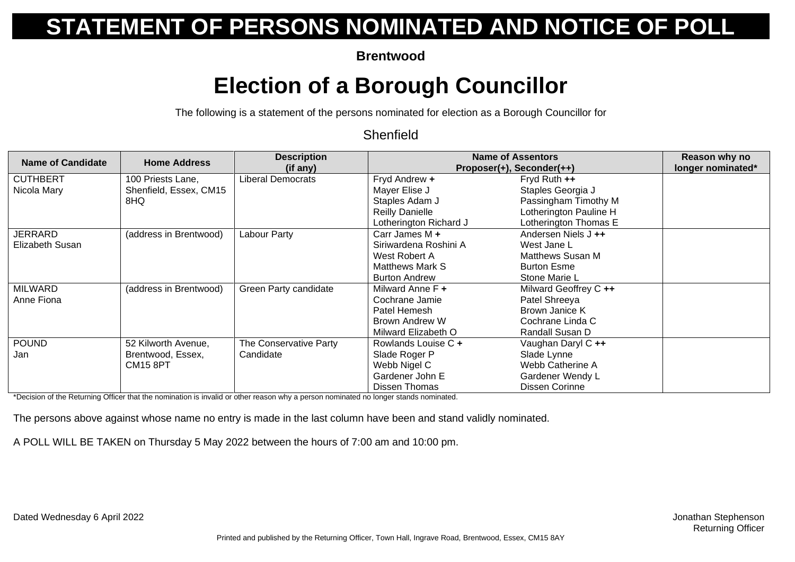**Brentwood**

## **Election of a Borough Councillor**

The following is a statement of the persons nominated for election as a Borough Councillor for

#### **Shenfield**

| Name of Candidate | <b>Home Address</b>    | <b>Description</b>     |                        | <b>Name of Assentors</b>  | Reason why no     |
|-------------------|------------------------|------------------------|------------------------|---------------------------|-------------------|
|                   |                        | (if any)               |                        | Proposer(+), Seconder(++) | longer nominated* |
| <b>CUTHBERT</b>   | 100 Priests Lane,      | Liberal Democrats      | Fryd Andrew +          | Fryd Ruth $++$            |                   |
| Nicola Mary       | Shenfield, Essex, CM15 |                        | Mayer Elise J          | Staples Georgia J         |                   |
|                   | 8HQ.                   |                        | Staples Adam J         | Passingham Timothy M      |                   |
|                   |                        |                        | <b>Reilly Danielle</b> | Lotherington Pauline H    |                   |
|                   |                        |                        | Lotherington Richard J | Lotherington Thomas E     |                   |
| <b>JERRARD</b>    | (address in Brentwood) | Labour Party           | Carr James M $+$       | Andersen Niels J ++       |                   |
| Elizabeth Susan   |                        |                        | Siriwardena Roshini A  | West Jane L               |                   |
|                   |                        |                        | West Robert A          | Matthews Susan M          |                   |
|                   |                        |                        | Matthews Mark S        | <b>Burton Esme</b>        |                   |
|                   |                        |                        | <b>Burton Andrew</b>   | Stone Marie L             |                   |
| <b>MILWARD</b>    | (address in Brentwood) | Green Party candidate  | Milward Anne F +       | Milward Geoffrey C ++     |                   |
| Anne Fiona        |                        |                        | Cochrane Jamie         | Patel Shreeya             |                   |
|                   |                        |                        | Patel Hemesh           | Brown Janice K            |                   |
|                   |                        |                        | Brown Andrew W         | Cochrane Linda C          |                   |
|                   |                        |                        | Milward Elizabeth O    | Randall Susan D           |                   |
| <b>POUND</b>      | 52 Kilworth Avenue,    | The Conservative Party | Rowlands Louise C +    | Vaughan Daryl C ++        |                   |
| Jan               | Brentwood, Essex,      | Candidate              | Slade Roger P          | Slade Lynne               |                   |
|                   | <b>CM15 8PT</b>        |                        | Webb Nigel C           | Webb Catherine A          |                   |
|                   |                        |                        | Gardener John E        | Gardener Wendy L          |                   |
|                   |                        |                        | <b>Dissen Thomas</b>   | Dissen Corinne            |                   |

\*Decision of the Returning Officer that the nomination is invalid or other reason why a person nominated no longer stands nominated.

The persons above against whose name no entry is made in the last column have been and stand validly nominated.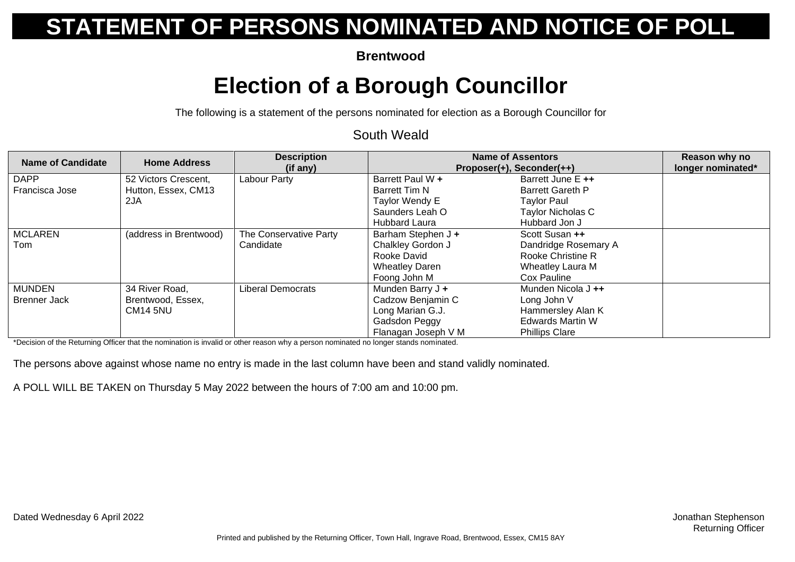**Brentwood**

## **Election of a Borough Councillor**

The following is a statement of the persons nominated for election as a Borough Councillor for

#### South Weald

| <b>Name of Candidate</b>             | <b>Home Address</b>                                    | <b>Description</b><br>(if any)      | <b>Name of Assentors</b><br>Proposer(+), Seconder(++)                                             |                                                                                                            | Reason why no<br>longer nominated* |
|--------------------------------------|--------------------------------------------------------|-------------------------------------|---------------------------------------------------------------------------------------------------|------------------------------------------------------------------------------------------------------------|------------------------------------|
| <b>DAPP</b><br>Francisca Jose        | 52 Victors Crescent,<br>Hutton, Essex, CM13<br>2JA     | Labour Party                        | Barrett Paul W +<br><b>Barrett Tim N</b><br>Taylor Wendy E<br>Saunders Leah O<br>Hubbard Laura    | Barrett June E ++<br><b>Barrett Gareth P</b><br><b>Taylor Paul</b><br>Taylor Nicholas C<br>Hubbard Jon J   |                                    |
| <b>MCLAREN</b><br>Tom                | (address in Brentwood)                                 | The Conservative Party<br>Candidate | Barham Stephen J +<br>Chalkley Gordon J<br>Rooke David<br><b>Wheatley Daren</b><br>Foong John M   | Scott Susan ++<br>Dandridge Rosemary A<br>Rooke Christine R<br>Wheatley Laura M<br>Cox Pauline             |                                    |
| <b>MUNDEN</b><br><b>Brenner Jack</b> | 34 River Road,<br>Brentwood, Essex,<br><b>CM14 5NU</b> | Liberal Democrats                   | Munden Barry J +<br>Cadzow Benjamin C<br>Long Marian G.J.<br>Gadsdon Peggy<br>Flanagan Joseph V M | Munden Nicola J ++<br>Long John V<br>Hammersley Alan K<br><b>Edwards Martin W</b><br><b>Phillips Clare</b> |                                    |

\*Decision of the Returning Officer that the nomination is invalid or other reason why a person nominated no longer stands nominated.

The persons above against whose name no entry is made in the last column have been and stand validly nominated.